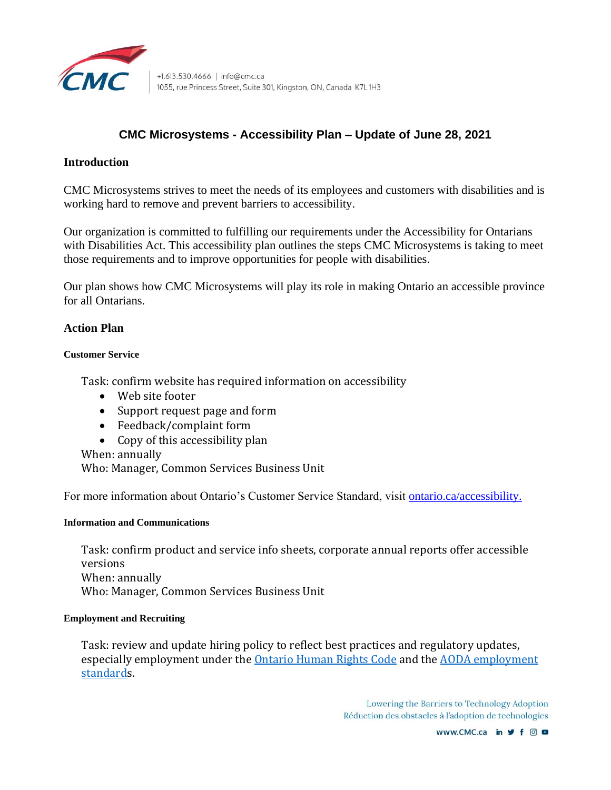

# **CMC Microsystems - Accessibility Plan – Update of June 28, 2021**

# **Introduction**

CMC Microsystems strives to meet the needs of its employees and customers with disabilities and is working hard to remove and prevent barriers to accessibility.

Our organization is committed to fulfilling our requirements under the Accessibility for Ontarians with Disabilities Act. This accessibility plan outlines the steps CMC Microsystems is taking to meet those requirements and to improve opportunities for people with disabilities.

Our plan shows how CMC Microsystems will play its role in making Ontario an accessible province for all Ontarians.

# **Action Plan**

## **Customer Service**

Task: confirm website has required information on accessibility

- Web site footer
- Support request page and form
- Feedback/complaint form
- Copy of this accessibility plan

When: annually

Who: Manager, Common Services Business Unit

For more information about Ontario's Customer Service Standard, visit [ontario.ca/accessibility.](https://www.ontario.ca/accessibility)

### **Information and Communications**

Task: confirm product and service info sheets, corporate annual reports offer accessible versions When: annually Who: Manager, Common Services Business Unit

### **Employment and Recruiting**

Task: review and update hiring policy to reflect best practices and regulatory updates, especially employment under the **Ontario Human Rights Code and the AODA** employment [standards](https://www.ontario.ca/laws/regulation/110191#BK21).

> Lowering the Barriers to Technology Adoption Réduction des obstacles à l'adoption de technologies

> > www.CMC.ca in y f © □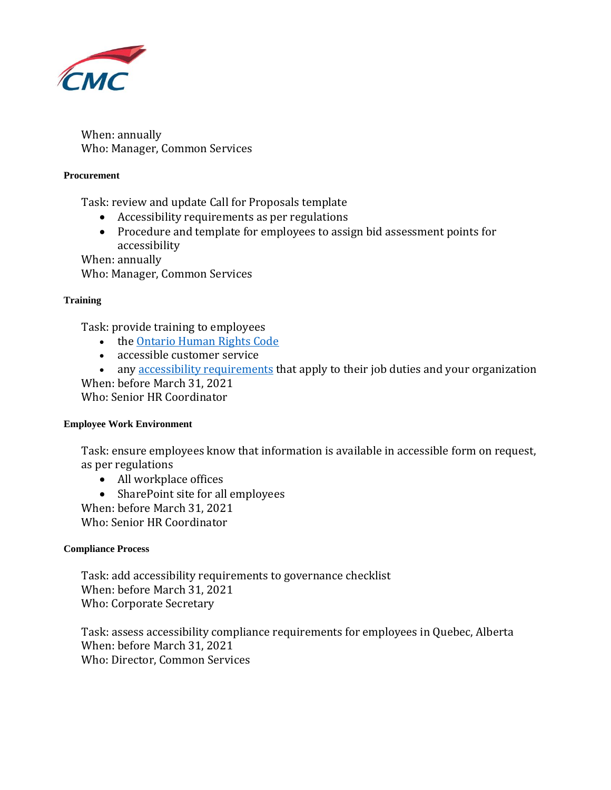

When: annually Who: Manager, Common Services

## **Procurement**

Task: review and update Call for Proposals template

- Accessibility requirements as per regulations
- Procedure and template for employees to assign bid assessment points for accessibility

When: annually

Who: Manager, Common Services

## **Training**

Task: provide training to employees

- the [Ontario Human Rights Code](http://www.ohrc.on.ca/en/learning/working-together-code-and-aoda)
- accessible customer service
- any [accessibility requirements](https://www.ontario.ca/page/about-accessibility-laws#section-2) that apply to their job duties and your organization When: before March 31, 2021

Who: Senior HR Coordinator

### **Employee Work Environment**

Task: ensure employees know that information is available in accessible form on request, as per regulations

- All workplace offices
- SharePoint site for all employees

When: before March 31, 2021 Who: Senior HR Coordinator

### **Compliance Process**

Task: add accessibility requirements to governance checklist When: before March 31, 2021 Who: Corporate Secretary

Task: assess accessibility compliance requirements for employees in Quebec, Alberta When: before March 31, 2021 Who: Director, Common Services